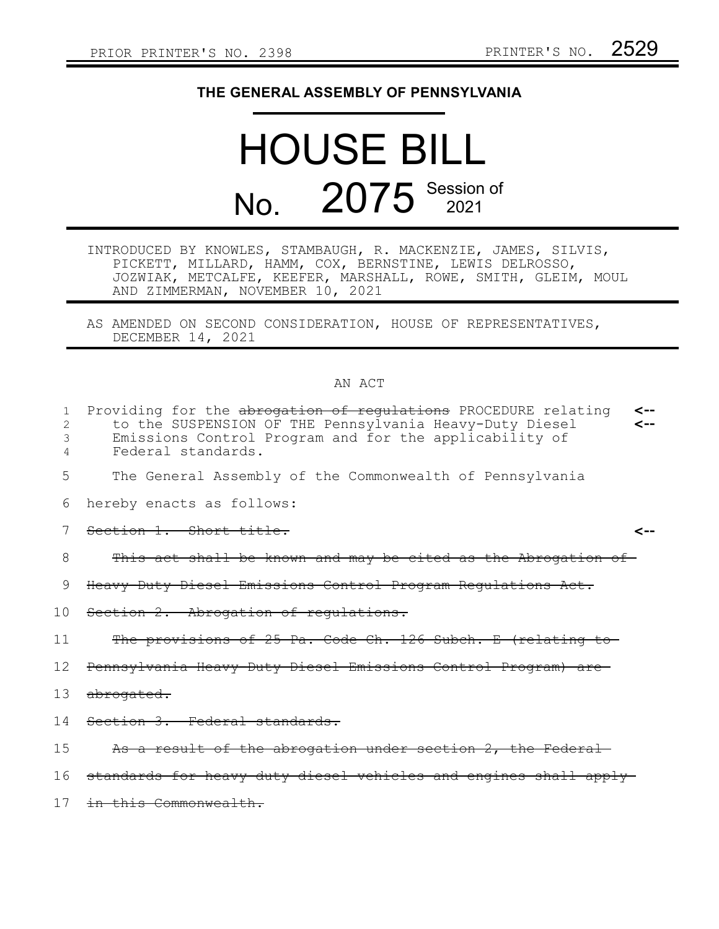## **THE GENERAL ASSEMBLY OF PENNSYLVANIA**

## HOUSE BILL No. 2075 Session of

- INTRODUCED BY KNOWLES, STAMBAUGH, R. MACKENZIE, JAMES, SILVIS, PICKETT, MILLARD, HAMM, COX, BERNSTINE, LEWIS DELROSSO, JOZWIAK, METCALFE, KEEFER, MARSHALL, ROWE, SMITH, GLEIM, MOUL AND ZIMMERMAN, NOVEMBER 10, 2021
- AS AMENDED ON SECOND CONSIDERATION, HOUSE OF REPRESENTATIVES, DECEMBER 14, 2021

## AN ACT

| 1<br>2<br>3     | Providing for the abrogation of regulations PROCEDURE relating<br>⊂--<br>to the SUSPENSION OF THE Pennsylvania Heavy-Duty Diesel<br>Emissions Control Program and for the applicability of |
|-----------------|--------------------------------------------------------------------------------------------------------------------------------------------------------------------------------------------|
| 4               | Federal standards.                                                                                                                                                                         |
| 5               | The General Assembly of the Commonwealth of Pennsylvania                                                                                                                                   |
| 6               | hereby enacts as follows:                                                                                                                                                                  |
|                 | Section 1. Short title.                                                                                                                                                                    |
| 8               | This act shall be known and may be cited as the Abrogation of                                                                                                                              |
| 9               | Heavy-Duty Diesel Emissions Control Program Regulations Act.                                                                                                                               |
| 10 <sub>1</sub> | Section 2. Abrogation of regulations.                                                                                                                                                      |
| 11              | The provisions of 25 Pa. Code Ch. 126 Subch. E (relating to                                                                                                                                |
| 12              | Pennsylvania Heavy-Duty Diesel Emissions Control Program) are                                                                                                                              |
| 13              | <del>abrogated.</del>                                                                                                                                                                      |
| 14              | Section 3. Federal standards.                                                                                                                                                              |
| 15              | As a result of the abrogation under section 2, the Federal                                                                                                                                 |
| 16              | standards for heavy duty diesel vehicles and engines shall appl                                                                                                                            |
| 17              | in this Commonwealth.                                                                                                                                                                      |